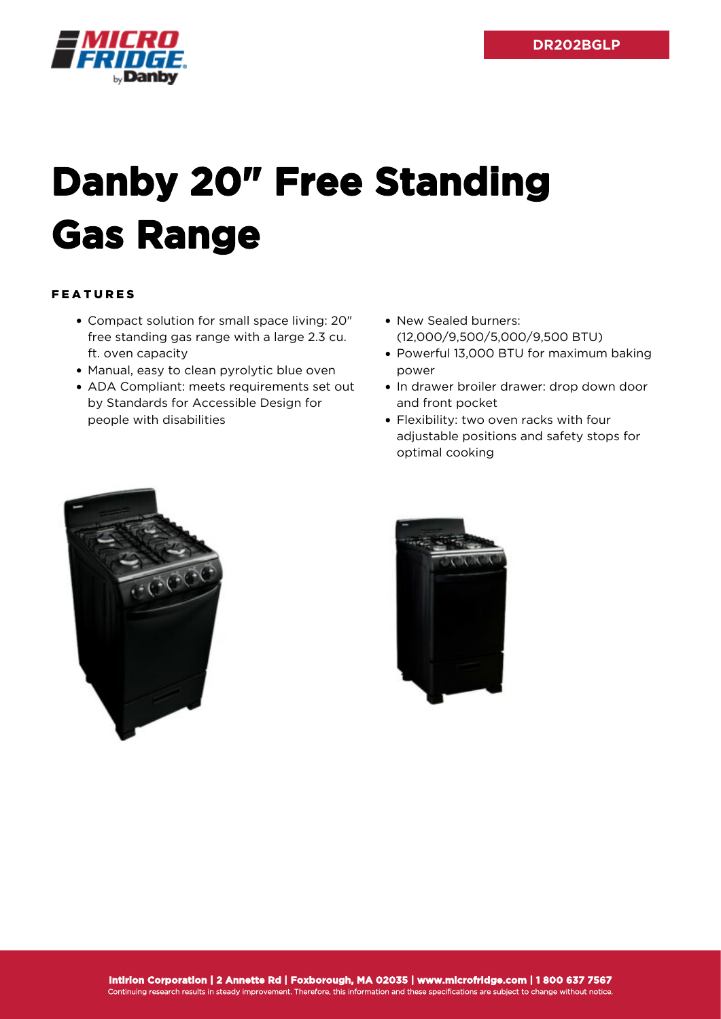

## **Danby 20" Free Standing Gas Range**

## FEATURES

- Compact solution for small space living: 20" free standing gas range with a large 2.3 cu. ft. oven capacity
- Manual, easy to clean pyrolytic blue oven
- ADA Compliant: meets requirements set out by Standards for Accessible Design for people with disabilities
- New Sealed burners: (12,000/9,500/5,000/9,500 BTU)
- Powerful 13,000 BTU for maximum baking power
- In drawer broiler drawer: drop down door and front pocket
- Flexibility: two oven racks with four adjustable positions and safety stops for optimal cooking